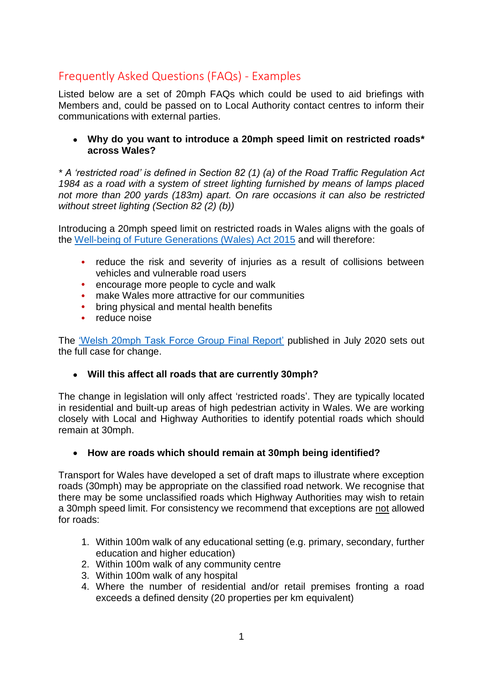# Frequently Asked Questions (FAQs) - Examples

Listed below are a set of 20mph FAQs which could be used to aid briefings with Members and, could be passed on to Local Authority contact centres to inform their communications with external parties.

 **Why do you want to introduce a 20mph speed limit on restricted roads\* across Wales?**

*\* A 'restricted road' is defined in Section 82 (1) (a) of the Road Traffic Regulation Act 1984 as a road with a system of street lighting furnished by means of lamps placed not more than 200 yards (183m) apart. On rare occasions it can also be restricted without street lighting (Section 82 (2) (b))*

Introducing a 20mph speed limit on restricted roads in Wales aligns with the goals of the [Well-being of Future Generations \(Wales\) Act 2015](https://www.legislation.gov.uk/anaw/2015/2/contents/enacted) and will therefore:

- **•** reduce the risk and severity of injuries as a result of collisions between vehicles and vulnerable road users
- **•** encourage more people to cycle and walk
- **•** make Wales more attractive for our communities
- **•** bring physical and mental health benefits
- **•** reduce noise

The ['Welsh 20mph Task Force Group Final Report'](https://gov.wales/20mph-task-force-group-report) published in July 2020 sets out the full case for change.

#### **Will this affect all roads that are currently 30mph?**

The change in legislation will only affect 'restricted roads'. They are typically located in residential and built-up areas of high pedestrian activity in Wales. We are working closely with Local and Highway Authorities to identify potential roads which should remain at 30mph.

#### **How are roads which should remain at 30mph being identified?**

Transport for Wales have developed a set of draft maps to illustrate where exception roads (30mph) may be appropriate on the classified road network. We recognise that there may be some unclassified roads which Highway Authorities may wish to retain a 30mph speed limit. For consistency we recommend that exceptions are not allowed for roads:

- 1. Within 100m walk of any educational setting (e.g. primary, secondary, further education and higher education)
- 2. Within 100m walk of any community centre
- 3. Within 100m walk of any hospital
- 4. Where the number of residential and/or retail premises fronting a road exceeds a defined density (20 properties per km equivalent)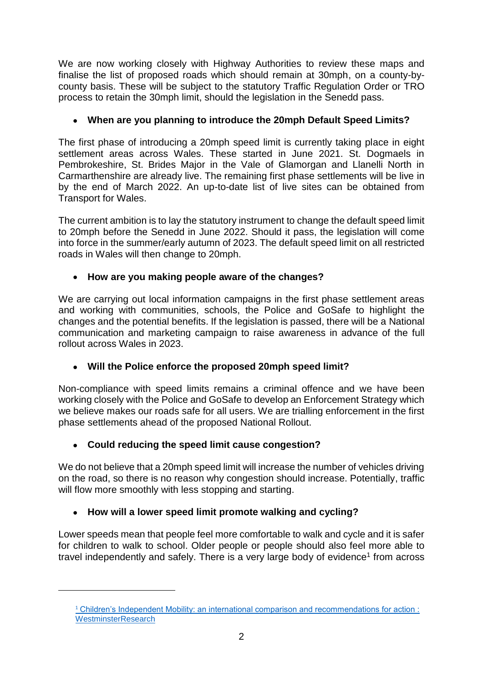We are now working closely with Highway Authorities to review these maps and finalise the list of proposed roads which should remain at 30mph, on a county-bycounty basis. These will be subject to the statutory Traffic Regulation Order or TRO process to retain the 30mph limit, should the legislation in the Senedd pass.

## **When are you planning to introduce the 20mph Default Speed Limits?**

The first phase of introducing a 20mph speed limit is currently taking place in eight settlement areas across Wales. These started in June 2021. St. Dogmaels in Pembrokeshire, St. Brides Major in the Vale of Glamorgan and Llanelli North in Carmarthenshire are already live. The remaining first phase settlements will be live in by the end of March 2022. An up-to-date list of live sites can be obtained from Transport for Wales.

The current ambition is to lay the statutory instrument to change the default speed limit to 20mph before the Senedd in June 2022. Should it pass, the legislation will come into force in the summer/early autumn of 2023. The default speed limit on all restricted roads in Wales will then change to 20mph.

## **How are you making people aware of the changes?**

We are carrying out local information campaigns in the first phase settlement areas and working with communities, schools, the Police and GoSafe to highlight the changes and the potential benefits. If the legislation is passed, there will be a National communication and marketing campaign to raise awareness in advance of the full rollout across Wales in 2023.

## **Will the Police enforce the proposed 20mph speed limit?**

Non-compliance with speed limits remains a criminal offence and we have been working closely with the Police and GoSafe to develop an Enforcement Strategy which we believe makes our roads safe for all users. We are trialling enforcement in the first phase settlements ahead of the proposed National Rollout.

## **Could reducing the speed limit cause congestion?**

1

We do not believe that a 20mph speed limit will increase the number of vehicles driving on the road, so there is no reason why congestion should increase. Potentially, traffic will flow more smoothly with less stopping and starting.

## **How will a lower speed limit promote walking and cycling?**

Lower speeds mean that people feel more comfortable to walk and cycle and it is safer for children to walk to school. Older people or people should also feel more able to travel independently and safely. There is a very large body of evidence<sup>1</sup> from across

<sup>&</sup>lt;sup>1</sup> [Children's Independent Mobility: an international comparison and recommendations for action :](https://westminsterresearch.westminster.ac.uk/item/98xyq/children-s-independent-mobility-an-international-comparison-and-recommendations-for-action) **[WestminsterResearch](https://westminsterresearch.westminster.ac.uk/item/98xyq/children-s-independent-mobility-an-international-comparison-and-recommendations-for-action)**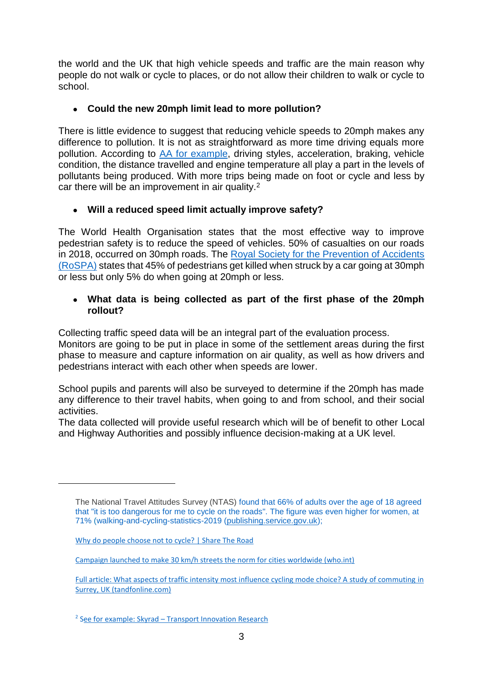the world and the UK that high vehicle speeds and traffic are the main reason why people do not walk or cycle to places, or do not allow their children to walk or cycle to school.

### **Could the new 20mph limit lead to more pollution?**

There is little evidence to suggest that reducing vehicle speeds to 20mph makes any difference to pollution. It is not as straightforward as more time driving equals more pollution. According to [AA for example,](https://www.theaa.com/driving-advice/fuels-environment/drive-economically) driving styles, acceleration, braking, vehicle condition, the distance travelled and engine temperature all play a part in the levels of pollutants being produced. With more trips being made on foot or cycle and less by car there will be an improvement in air quality.<sup>2</sup>

## **Will a reduced speed limit actually improve safety?**

The World Health Organisation states that the most effective way to improve pedestrian safety is to reduce the speed of vehicles. 50% of casualties on our roads in 2018, occurred on 30mph roads. The [Royal Society for the Prevention of Accidents](https://www.rospa.com/rospaweb/docs/advice-services/road-safety/drivers/inappropriate-speed.pdf)  [\(RoSPA\)](https://www.rospa.com/rospaweb/docs/advice-services/road-safety/drivers/inappropriate-speed.pdf) states that 45% of pedestrians get killed when struck by a car going at 30mph or less but only 5% do when going at 20mph or less.

#### **What data is being collected as part of the first phase of the 20mph rollout?**

Collecting traffic speed data will be an integral part of the evaluation process.

Monitors are going to be put in place in some of the settlement areas during the first phase to measure and capture information on air quality, as well as how drivers and pedestrians interact with each other when speeds are lower.

School pupils and parents will also be surveyed to determine if the 20mph has made any difference to their travel habits, when going to and from school, and their social activities.

The data collected will provide useful research which will be of benefit to other Local and Highway Authorities and possibly influence decision-making at a UK level.

1

The National Travel Attitudes Survey (NTAS) found that 66% of adults over the age of 18 agreed that "it is too dangerous for me to cycle on the roads". The figure was even higher for women, at 71% [\(walking-and-cycling-statistics-2019 \(publishing.service.gov.uk\);](https://assets.publishing.service.gov.uk/government/uploads/system/uploads/attachment_data/file/906698/walking-and-cycling-statistics-england-2019.pdf)

[Why do people choose not to cycle? | Share The Road](https://www.sharetheroad.ca/why-do-people-choose-not-to-cycle--s16209)

[Campaign launched to make 30 km/h streets the norm for cities worldwide \(who.int\)](https://www.who.int/news/item/22-03-2021-campaign-launched-to-make-30-km-h-streets-the-norm-for-cities-worldwide)

[Full article: What aspects of traffic intensity most influence cycling mode choice? A study of commuting in](https://www.tandfonline.com/doi/full/10.1080/15568318.2021.1999539)  [Surrey, UK \(tandfonline.com\)](https://www.tandfonline.com/doi/full/10.1080/15568318.2021.1999539)

<sup>&</sup>lt;sup>2</sup> See for example: Skyrad - [Transport Innovation Research](https://skyrad.co.uk/transport-innovation-research/)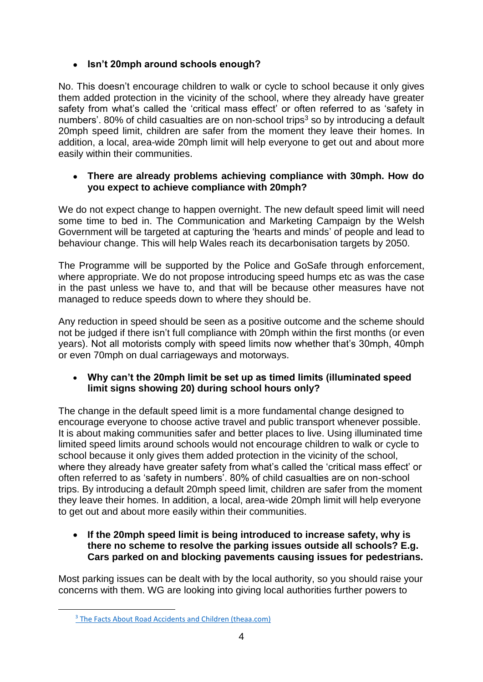## **Isn't 20mph around schools enough?**

No. This doesn't encourage children to walk or cycle to school because it only gives them added protection in the vicinity of the school, where they already have greater safety from what's called the 'critical mass effect' or often referred to as 'safety in numbers'. 80% of child casualties are on non-school trips<sup>3</sup> so by introducing a default 20mph speed limit, children are safer from the moment they leave their homes. In addition, a local, area-wide 20mph limit will help everyone to get out and about more easily within their communities.

#### **There are already problems achieving compliance with 30mph. How do you expect to achieve compliance with 20mph?**

We do not expect change to happen overnight. The new default speed limit will need some time to bed in. The Communication and Marketing Campaign by the Welsh Government will be targeted at capturing the 'hearts and minds' of people and lead to behaviour change. This will help Wales reach its decarbonisation targets by 2050.

The Programme will be supported by the Police and GoSafe through enforcement, where appropriate. We do not propose introducing speed humps etc as was the case in the past unless we have to, and that will be because other measures have not managed to reduce speeds down to where they should be.

Any reduction in speed should be seen as a positive outcome and the scheme should not be judged if there isn't full compliance with 20mph within the first months (or even years). Not all motorists comply with speed limits now whether that's 30mph, 40mph or even 70mph on dual carriageways and motorways.

#### **Why can't the 20mph limit be set up as timed limits (illuminated speed limit signs showing 20) during school hours only?**

The change in the default speed limit is a more fundamental change designed to encourage everyone to choose active travel and public transport whenever possible. It is about making communities safer and better places to live. Using illuminated time limited speed limits around schools would not encourage children to walk or cycle to school because it only gives them added protection in the vicinity of the school, where they already have greater safety from what's called the 'critical mass effect' or often referred to as 'safety in numbers'. 80% of child casualties are on non-school trips. By introducing a default 20mph speed limit, children are safer from the moment they leave their homes. In addition, a local, area-wide 20mph limit will help everyone to get out and about more easily within their communities.

 **If the 20mph speed limit is being introduced to increase safety, why is there no scheme to resolve the parking issues outside all schools? E.g. Cars parked on and blocking pavements causing issues for pedestrians.**

Most parking issues can be dealt with by the local authority, so you should raise your concerns with them. WG are looking into giving local authorities further powers to

1

<sup>&</sup>lt;sup>3</sup> [The Facts About Road Accidents and Children \(theaa.com\)](https://www.theaa.com/staticdocs/pdf/aboutaa/child_safety.pdf)